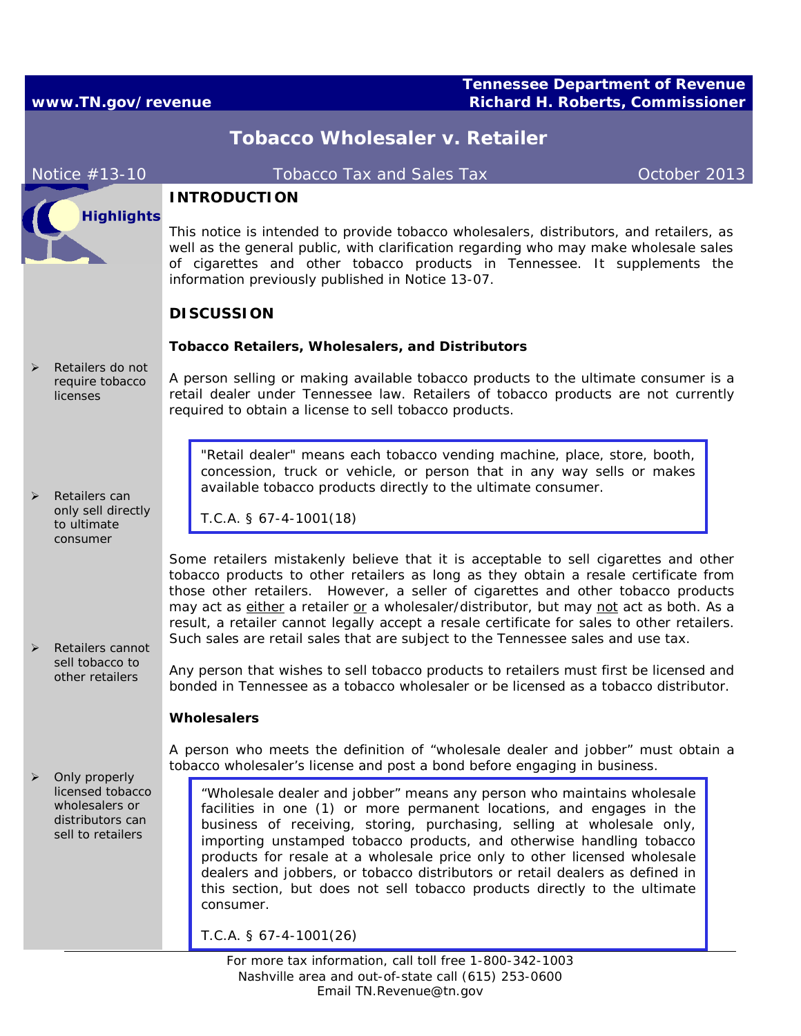## **Tennessee Department of Revenue www.TN.gov/revenue Richard H. Roberts, Commissioner**

| <b>Tobacco Wholesaler v. Retailer</b>                                                                          |                                                                                              |                                                                                                                                                                                                                                                                                                                                                                                                                                                                                                                                                          |              |  |
|----------------------------------------------------------------------------------------------------------------|----------------------------------------------------------------------------------------------|----------------------------------------------------------------------------------------------------------------------------------------------------------------------------------------------------------------------------------------------------------------------------------------------------------------------------------------------------------------------------------------------------------------------------------------------------------------------------------------------------------------------------------------------------------|--------------|--|
|                                                                                                                | Notice #13-10                                                                                | <b>Tobacco Tax and Sales Tax</b>                                                                                                                                                                                                                                                                                                                                                                                                                                                                                                                         | October 2013 |  |
|                                                                                                                | <b>Highlights</b>                                                                            | <b>INTRODUCTION</b><br>This notice is intended to provide tobacco wholesalers, distributors, and retailers, as                                                                                                                                                                                                                                                                                                                                                                                                                                           |              |  |
|                                                                                                                |                                                                                              | well as the general public, with clarification regarding who may make wholesale sales<br>of cigarettes and other tobacco products in Tennessee. It supplements the<br>information previously published in Notice 13-07.                                                                                                                                                                                                                                                                                                                                  |              |  |
|                                                                                                                |                                                                                              | <b>DISCUSSION</b>                                                                                                                                                                                                                                                                                                                                                                                                                                                                                                                                        |              |  |
|                                                                                                                | Retailers do not<br>require tobacco<br><i>licenses</i>                                       | <b>Tobacco Retailers, Wholesalers, and Distributors</b>                                                                                                                                                                                                                                                                                                                                                                                                                                                                                                  |              |  |
|                                                                                                                |                                                                                              | A person selling or making available tobacco products to the ultimate consumer is a<br>retail dealer under Tennessee law. Retailers of tobacco products are not currently<br>required to obtain a license to sell tobacco products.                                                                                                                                                                                                                                                                                                                      |              |  |
|                                                                                                                | Retailers can<br>only sell directly<br>to ultimate                                           | "Retail dealer" means each tobacco vending machine, place, store, booth,<br>concession, truck or vehicle, or person that in any way sells or makes<br>available tobacco products directly to the ultimate consumer.                                                                                                                                                                                                                                                                                                                                      |              |  |
|                                                                                                                |                                                                                              | $T.C.A.$ § 67-4-1001(18)                                                                                                                                                                                                                                                                                                                                                                                                                                                                                                                                 |              |  |
|                                                                                                                | consumer<br>Retailers cannot                                                                 | Some retailers mistakenly believe that it is acceptable to sell cigarettes and other<br>tobacco products to other retailers as long as they obtain a resale certificate from<br>those other retailers. However, a seller of cigarettes and other tobacco products<br>may act as either a retailer or a wholesaler/distributor, but may not act as both. As a<br>result, a retailer cannot legally accept a resale certificate for sales to other retailers.<br>Such sales are retail sales that are subject to the Tennessee sales and use tax.          |              |  |
|                                                                                                                | sell tobacco to<br>other retailers                                                           | Any person that wishes to sell tobacco products to retailers must first be licensed and<br>bonded in Tennessee as a tobacco wholesaler or be licensed as a tobacco distributor.                                                                                                                                                                                                                                                                                                                                                                          |              |  |
|                                                                                                                |                                                                                              | <b>Wholesalers</b>                                                                                                                                                                                                                                                                                                                                                                                                                                                                                                                                       |              |  |
|                                                                                                                | Only properly<br>licensed tobacco<br>wholesalers or<br>distributors can<br>sell to retailers | A person who meets the definition of "wholesale dealer and jobber" must obtain a<br>tobacco wholesaler's license and post a bond before engaging in business.                                                                                                                                                                                                                                                                                                                                                                                            |              |  |
|                                                                                                                |                                                                                              | "Wholesale dealer and jobber" means any person who maintains wholesale<br>facilities in one (1) or more permanent locations, and engages in the<br>business of receiving, storing, purchasing, selling at wholesale only,<br>importing unstamped tobacco products, and otherwise handling tobacco<br>products for resale at a wholesale price only to other licensed wholesale<br>dealers and jobbers, or tobacco distributors or retail dealers as defined in<br>this section, but does not sell tobacco products directly to the ultimate<br>consumer. |              |  |
|                                                                                                                |                                                                                              | $T.C.A.$ § 67-4-1001(26)                                                                                                                                                                                                                                                                                                                                                                                                                                                                                                                                 |              |  |
| For more tax information, call toll free 1-800-342-1003<br>Nashville area and out-of-state call (615) 253-0600 |                                                                                              |                                                                                                                                                                                                                                                                                                                                                                                                                                                                                                                                                          |              |  |

Email TN.Revenue@tn.gov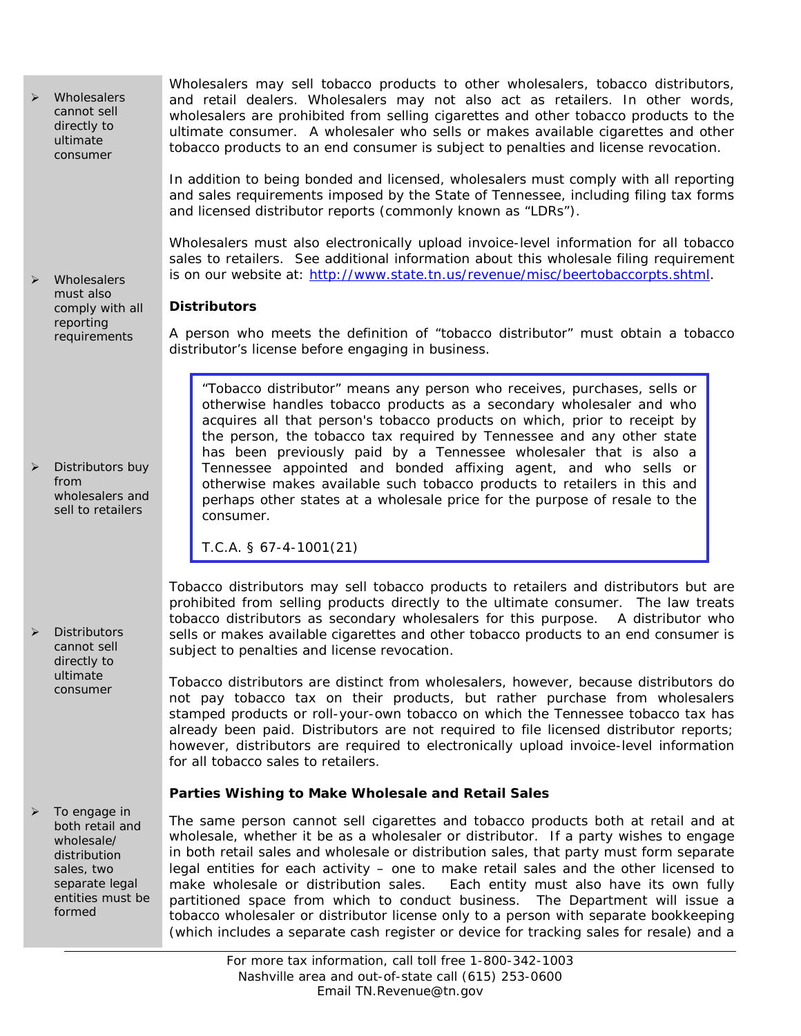*Wholesalers cannot sell directly to ultimate consumer*

 *Wholesalers must also comply with all reporting requirements* 

 *Distributors buy from wholesalers and sell to retailers*

 *Distributors cannot sell directly to ultimate consumer*

 *To engage in both retail and wholesale/ distribution sales, two separate legal entities must be formed*

Wholesalers may sell tobacco products to other wholesalers, tobacco distributors, and retail dealers. Wholesalers may not also act as retailers. In other words, wholesalers are prohibited from selling cigarettes and other tobacco products to the ultimate consumer. A wholesaler who sells or makes available cigarettes and other tobacco products to an end consumer is subject to penalties and license revocation.

In addition to being bonded and licensed, wholesalers must comply with all reporting and sales requirements imposed by the State of Tennessee, including filing tax forms and licensed distributor reports (commonly known as "LDRs").

Wholesalers must also electronically upload invoice-level information for all tobacco sales to retailers. See additional information about this wholesale filing requirement is on our website at: [http://www.state.tn.us/revenue/misc/beertobaccorpts.shtml.](http://www.state.tn.us/revenue/misc/beertobaccorpts.shtml)

## *Distributors*

A person who meets the definition of "tobacco distributor" must obtain a tobacco distributor's license before engaging in business.

"Tobacco distributor" means any person who receives, purchases, sells or otherwise handles tobacco products as a secondary wholesaler and who acquires all that person's tobacco products on which, prior to receipt by the person, the tobacco tax required by Tennessee and any other state has been previously paid by a Tennessee wholesaler that is also a Tennessee appointed and bonded affixing agent, and who sells or otherwise makes available such tobacco products to retailers in this and perhaps other states at a wholesale price for the purpose of resale to the consumer.

*T.C.A. § 67-4-1001(21)*

Tobacco distributors may sell tobacco products to retailers and distributors but are prohibited from selling products directly to the ultimate consumer. The law treats tobacco distributors as secondary wholesalers for this purpose. A distributor who sells or makes available cigarettes and other tobacco products to an end consumer is subject to penalties and license revocation.

Tobacco distributors are distinct from wholesalers, however, because distributors do not pay tobacco tax on their products, but rather purchase from wholesalers stamped products or roll-your-own tobacco on which the Tennessee tobacco tax has already been paid. Distributors are not required to file licensed distributor reports; however, distributors are required to electronically upload invoice-level information for all tobacco sales to retailers.

## **Parties Wishing to Make Wholesale and Retail Sales**

The same person cannot sell cigarettes and tobacco products both at retail and at wholesale, whether it be as a wholesaler or distributor. If a party wishes to engage in both retail sales and wholesale or distribution sales, that party must form separate legal entities for each activity – one to make retail sales and the other licensed to make wholesale or distribution sales. Each entity must also have its own fully partitioned space from which to conduct business. The Department will issue a tobacco wholesaler or distributor license only to a person with separate bookkeeping (which includes a separate cash register or device for tracking sales for resale) and a